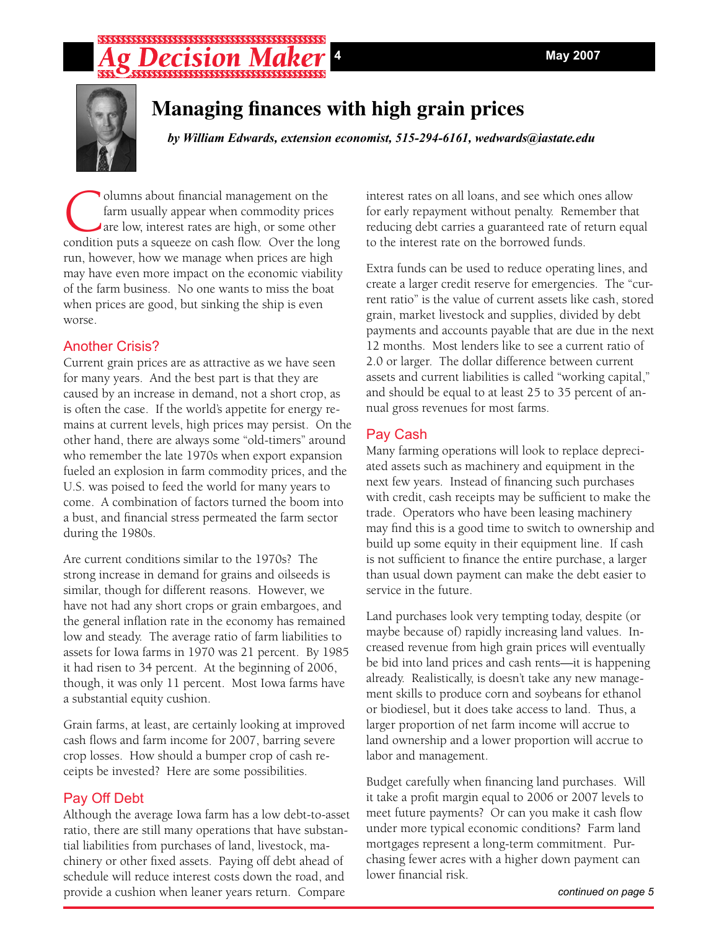## 



## **Managing finances with high grain prices**

*by William Edwards, extension economist, 515-294-6161, wedwards@iastate.edu*

**Columns about financial management on the farm usually appear when commodity prices**<br>are low, interest rates are high, or some other<br>condition puts a squeeze on cash flow. Over the lor farm usually appear when commodity prices are low, interest rates are high, or some other condition puts a squeeze on cash flow. Over the long run, however, how we manage when prices are high may have even more impact on the economic viability of the farm business. No one wants to miss the boat when prices are good, but sinking the ship is even worse.

### Another Crisis?

Current grain prices are as attractive as we have seen for many years. And the best part is that they are caused by an increase in demand, not a short crop, as is often the case. If the world's appetite for energy remains at current levels, high prices may persist. On the other hand, there are always some "old-timers" around who remember the late 1970s when export expansion fueled an explosion in farm commodity prices, and the U.S. was poised to feed the world for many years to come. A combination of factors turned the boom into a bust, and financial stress permeated the farm sector during the 1980s.

Are current conditions similar to the 1970s? The strong increase in demand for grains and oilseeds is similar, though for different reasons. However, we have not had any short crops or grain embargoes, and the general inflation rate in the economy has remained low and steady. The average ratio of farm liabilities to assets for Iowa farms in 1970 was 21 percent. By 1985 it had risen to 34 percent. At the beginning of 2006, though, it was only 11 percent. Most Iowa farms have a substantial equity cushion.

Grain farms, at least, are certainly looking at improved cash flows and farm income for 2007, barring severe crop losses. How should a bumper crop of cash receipts be invested? Here are some possibilities.

### Pay Off Debt

Although the average Iowa farm has a low debt-to-asset ratio, there are still many operations that have substantial liabilities from purchases of land, livestock, machinery or other fixed assets. Paying off debt ahead of schedule will reduce interest costs down the road, and provide a cushion when leaner years return. Compare

interest rates on all loans, and see which ones allow for early repayment without penalty. Remember that reducing debt carries a guaranteed rate of return equal to the interest rate on the borrowed funds.

Extra funds can be used to reduce operating lines, and create a larger credit reserve for emergencies. The "current ratio" is the value of current assets like cash, stored grain, market livestock and supplies, divided by debt payments and accounts payable that are due in the next 12 months. Most lenders like to see a current ratio of 2.0 or larger. The dollar difference between current assets and current liabilities is called "working capital," and should be equal to at least 25 to 35 percent of annual gross revenues for most farms.

### Pay Cash

Many farming operations will look to replace depreciated assets such as machinery and equipment in the next few years. Instead of financing such purchases with credit, cash receipts may be sufficient to make the trade. Operators who have been leasing machinery may find this is a good time to switch to ownership and build up some equity in their equipment line. If cash is not sufficient to finance the entire purchase, a larger than usual down payment can make the debt easier to service in the future.

Land purchases look very tempting today, despite (or maybe because of) rapidly increasing land values. Increased revenue from high grain prices will eventually be bid into land prices and cash rents—it is happening already. Realistically, is doesn't take any new management skills to produce corn and soybeans for ethanol or biodiesel, but it does take access to land. Thus, a larger proportion of net farm income will accrue to land ownership and a lower proportion will accrue to labor and management.

Budget carefully when financing land purchases. Will it take a profit margin equal to 2006 or 2007 levels to meet future payments? Or can you make it cash flow under more typical economic conditions? Farm land mortgages represent a long-term commitment. Purchasing fewer acres with a higher down payment can lower financial risk.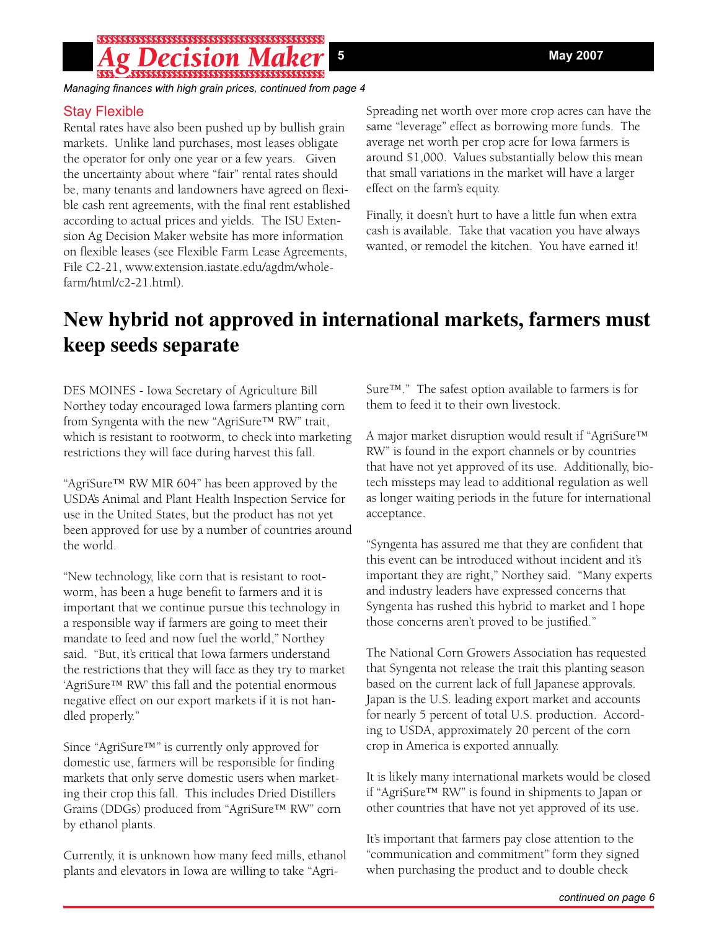## $\begin{bmatrix} \texttt{SSS} & \texttt{SSSSS} & \texttt{SSS} & \texttt{SSS} & \texttt{SSS} & \texttt{SSS} & \texttt{SSS} & \texttt{SSS} & \texttt{SSS} & \texttt{SSS} & \texttt{SSS} & \texttt{SSS} & \texttt{SSS} & \texttt{SSS} & \texttt{SSS} & \texttt{SSS} & \texttt{SSS} & \texttt{SSS} & \texttt{SSS} & \texttt{SSS} & \texttt{SSS} & \texttt{SSS} & \texttt{SSS} & \texttt{SSS} & \texttt{SSS} & \texttt{SSS} & \texttt{SS$

*Managing finances with high grain prices, continued from page 4*

### Stay Flexible

Rental rates have also been pushed up by bullish grain markets. Unlike land purchases, most leases obligate the operator for only one year or a few years. Given the uncertainty about where "fair" rental rates should be, many tenants and landowners have agreed on flexible cash rent agreements, with the final rent established according to actual prices and yields. The ISU Extension Ag Decision Maker website has more information on flexible leases (see Flexible Farm Lease Agreements, File C2-21, www.extension.iastate.edu/agdm/wholefarm/html/c2-21.html).

Spreading net worth over more crop acres can have the same "leverage" effect as borrowing more funds. The average net worth per crop acre for Iowa farmers is around \$1,000. Values substantially below this mean that small variations in the market will have a larger effect on the farm's equity.

Finally, it doesn't hurt to have a little fun when extra cash is available. Take that vacation you have always wanted, or remodel the kitchen. You have earned it!

# **New hybrid not approved in international markets, farmers must keep seeds separate**

DES MOINES - Iowa Secretary of Agriculture Bill Northey today encouraged Iowa farmers planting corn from Syngenta with the new "AgriSure™ RW" trait, which is resistant to rootworm, to check into marketing restrictions they will face during harvest this fall.

"AgriSure™ RW MIR 604" has been approved by the USDA's Animal and Plant Health Inspection Service for use in the United States, but the product has not yet been approved for use by a number of countries around the world.

"New technology, like corn that is resistant to rootworm, has been a huge benefit to farmers and it is important that we continue pursue this technology in a responsible way if farmers are going to meet their mandate to feed and now fuel the world," Northey said. "But, it's critical that Iowa farmers understand the restrictions that they will face as they try to market 'AgriSure™ RW' this fall and the potential enormous negative effect on our export markets if it is not handled properly."

Since "AgriSure™" is currently only approved for domestic use, farmers will be responsible for finding markets that only serve domestic users when marketing their crop this fall. This includes Dried Distillers Grains (DDGs) produced from "AgriSure™ RW" corn by ethanol plants.

Currently, it is unknown how many feed mills, ethanol plants and elevators in Iowa are willing to take "AgriSure™." The safest option available to farmers is for them to feed it to their own livestock.

A major market disruption would result if "AgriSure™ RW" is found in the export channels or by countries that have not yet approved of its use. Additionally, biotech missteps may lead to additional regulation as well as longer waiting periods in the future for international acceptance.

"Syngenta has assured me that they are confident that this event can be introduced without incident and it's important they are right," Northey said. "Many experts and industry leaders have expressed concerns that Syngenta has rushed this hybrid to market and I hope those concerns aren't proved to be justified."

The National Corn Growers Association has requested that Syngenta not release the trait this planting season based on the current lack of full Japanese approvals. Japan is the U.S. leading export market and accounts for nearly 5 percent of total U.S. production. According to USDA, approximately 20 percent of the corn crop in America is exported annually.

It is likely many international markets would be closed if "AgriSure™ RW" is found in shipments to Japan or other countries that have not yet approved of its use.

It's important that farmers pay close attention to the "communication and commitment" form they signed when purchasing the product and to double check